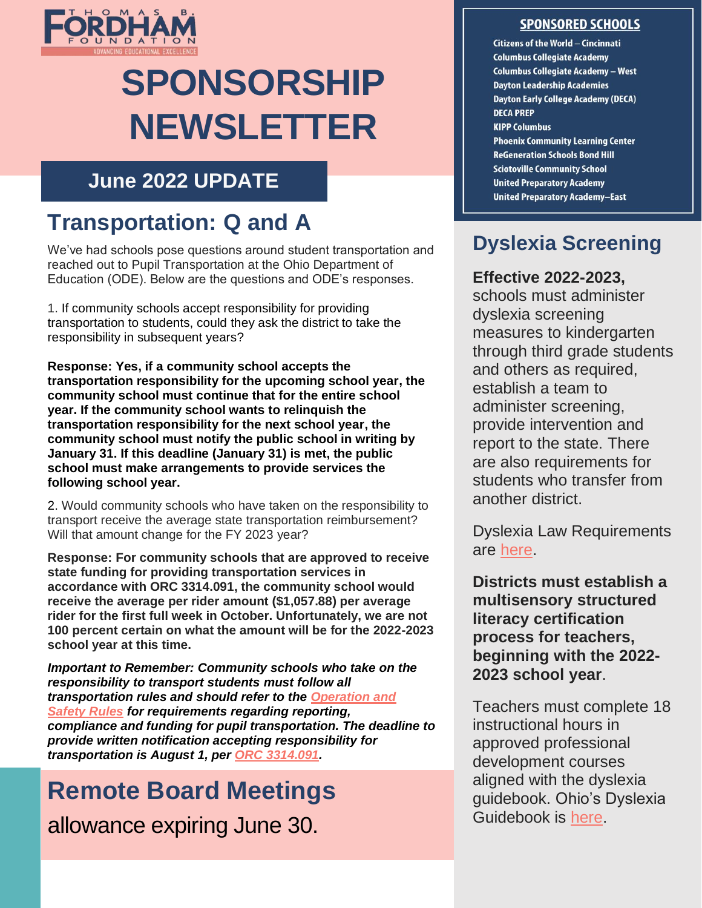

# **SPONSORSHIP NEWSLETTER**

### **June 2022 UPDATE**

## **Transportation: Q and A**

We've had schools pose questions around student transportation and reached out to Pupil Transportation at the Ohio Department of Education (ODE). Below are the questions and ODE's responses.

1. If community schools accept responsibility for providing transportation to students, could they ask the district to take the responsibility in subsequent years?

**Response: Yes, if a community school accepts the transportation responsibility for the upcoming school year, the community school must continue that for the entire school year. If the community school wants to relinquish the transportation responsibility for the next school year, the community school must notify the public school in writing by January 31. If this deadline (January 31) is met, the public school must make arrangements to provide services the following school year.**

2. Would community schools who have taken on the responsibility to transport receive the average state transportation reimbursement? Will that amount change for the FY 2023 year?

**Response: For community schools that are approved to receive state funding for providing transportation services in accordance with ORC 3314.091, the community school would receive the average per rider amount (\$1,057.88) per average rider for the first full week in October. Unfortunately, we are not 100 percent certain on what the amount will be for the 2022-2023 school year at this time.**

*Important to Remember: Community schools who take on the responsibility to transport students must follow all transportation rules and should refer to the [Operation and](https://education.ohio.gov/getattachment/Topics/Finance-and-Funding/School-Transportation/Transportation-Rules-and-Regulations/2020-Operation-and-Safety-Rules-6.pdf.aspx?lang=en-US)  [Safety Rules](https://education.ohio.gov/getattachment/Topics/Finance-and-Funding/School-Transportation/Transportation-Rules-and-Regulations/2020-Operation-and-Safety-Rules-6.pdf.aspx?lang=en-US) for requirements regarding reporting, compliance and funding for pupil transportation. The deadline to provide written notification accepting responsibility for transportation is August 1, per [ORC 3314.091.](https://codes.ohio.gov/ohio-revised-code/section-3314.091)*

## **Remote Board Meetings** allowance expiring June 30.

#### **SPONSORED SCHOOLS**

Citizens of the World - Cincinnati **Columbus Collegiate Academy Columbus Collegiate Academy - West Dayton Leadership Academies Dayton Early College Academy (DECA) DECA PREP KIPP Columbus Phoenix Community Learning Center ReGeneration Schools Bond Hill Sciotoville Community School United Preparatory Academy United Preparatory Academy-East** 

### **Dyslexia Screening**

#### **Effective 2022-2023,**

schools must administer dyslexia screening measures to kindergarten through third grade students and others as required, establish a team to administer screening, provide intervention and report to the state. There are also requirements for students who transfer from another district.

Dyslexia Law Requirements are [here.](https://education.ohio.gov/getattachment/Topics/Learning-in-Ohio/Literacy/Dyslexia/Dyslexia-Support-Laws-Timeline-of-Requirements.pdf.aspx?lang=en-US)

**Districts must establish a multisensory structured literacy certification process for teachers, beginning with the 2022- 2023 school year**.

Teachers must complete 18 instructional hours in approved professional development courses aligned with the dyslexia guidebook. Ohio's Dyslexia Guidebook is [here.](https://education.ohio.gov/getattachment/Topics/Learning-in-Ohio/Literacy/Dyslexia/OH_Dyslexia_Guidebook.pdf.aspx?lang=en-US)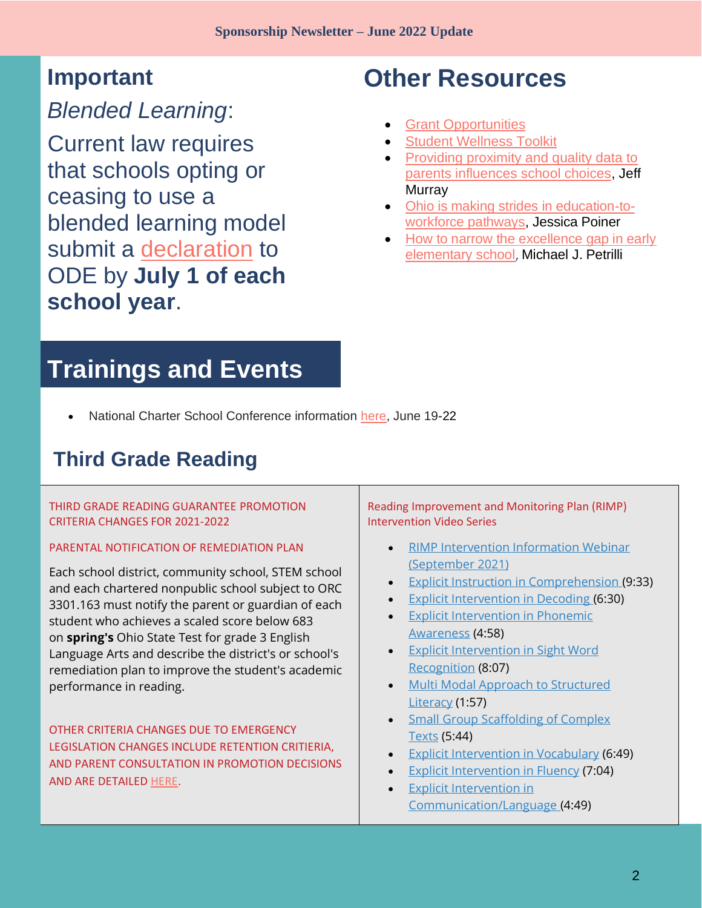## **Important**

*Blended Learning*:

Current law requires that schools opting or ceasing to use a blended learning model submit a [declaration](https://education.ohio.gov/getattachment/Topics/Back-to-School/Remote-Learning-FAQ/Blended-Learning-Declaration-Form_2021-22.pdf.aspx?lang=en-US) to ODE by **July 1 of each school year**.

## **Other Resources**

- **[Grant Opportunities](https://charterschoolcenter.ed.gov/funding/funding-opportunities)**
- **[Student Wellness Toolkit](https://education.ohio.gov/Topics/Student-Supports/Supporting-Student-Wellness-Toolkit)**
- [Providing proximity and quality data to](https://fordhaminstitute.org/ohio/commentary/providing-proximity-and-quality-data-parents-influences-school-choices)  [parents influences school choices,](https://fordhaminstitute.org/ohio/commentary/providing-proximity-and-quality-data-parents-influences-school-choices) Jeff **Murray**
- [Ohio is making strides in education-to](https://fordhaminstitute.org/ohio/commentary/ohio-making-strides-education-workforce-pathways)[workforce pathways,](https://fordhaminstitute.org/ohio/commentary/ohio-making-strides-education-workforce-pathways) Jessica Poiner
- How to narrow the excellence gap in early [elementary school](https://fordhaminstitute.org/national/commentary/how-narrow-excellence-gap-early-elementary-school), Michael J. Petrilli

## **Trainings and Events**

• National Charter School Conference information [here,](https://ncsc.publiccharters.org/) June 19-22

### **Third Grade Reading**

#### THIRD GRADE READING GUARANTEE PROMOTION CRITERIA CHANGES FOR 2021-2022

#### PARENTAL NOTIFICATION OF REMEDIATION PLAN

Each school district, community school, STEM school and each chartered nonpublic school subject to ORC 3301.163 must notify the parent or guardian of each student who achieves a scaled score below 683 on **spring's** Ohio State Test for grade 3 English Language Arts and describe the district's or school's remediation plan to improve the student's academic performance in reading.

OTHER CRITERIA CHANGES DUE TO EMERGENCY LEGISLATION CHANGES INCLUDE RETENTION CRITIERIA, AND PARENT CONSULTATION IN PROMOTION DECISIONS AND ARE DETAILED [HERE.](https://education.ohio.gov/Topics/Learning-in-Ohio/Literacy/Third-Grade-Reading-Guarantee/Third-Grade-Reading-Guarantee-Teacher-Resources)

Reading Improvement and Monitoring Plan (RIMP) Intervention Video Series

- [RIMP Intervention Information Webinar](https://sstr5.zoom.us/rec/play/axSMZgJxfpIEwk56_wtKwG9JuFnqJsLtTkx7iyd2tqWZkSXGsQ7hcyiNgzY5V1-ku5ReDw3mEFpDeSj2.Z8rL6qIhgLsj8zOy?continueMode=true&_x_zm_rtaid=3Qk8aNskRy6HVzNbaKxB2A.1633720899891.eadf5b5b3d19645aae4e3b3752e13be5&_x_zm_rhtaid=452)  [\(September 2021\)](https://sstr5.zoom.us/rec/play/axSMZgJxfpIEwk56_wtKwG9JuFnqJsLtTkx7iyd2tqWZkSXGsQ7hcyiNgzY5V1-ku5ReDw3mEFpDeSj2.Z8rL6qIhgLsj8zOy?continueMode=true&_x_zm_rtaid=3Qk8aNskRy6HVzNbaKxB2A.1633720899891.eadf5b5b3d19645aae4e3b3752e13be5&_x_zm_rhtaid=452)
- [Explicit Instruction in Comprehension](https://www.youtube.com/watch?v=1ApNNMxhyBc&list=PLnRQNvyI1h9ZF7S_WyMQatKkIZou3FUuk&index=1) (9:33)
- [Explicit Intervention in Decoding](https://www.youtube.com/watch?v=3sdqXPGi_vc&list=PLnRQNvyI1h9ZF7S_WyMQatKkIZou3FUuk&index=2) (6:30)
- [Explicit Intervention in Phonemic](https://www.youtube.com/watch?v=-6qDB7j13lg&list=PLnRQNvyI1h9ZF7S_WyMQatKkIZou3FUuk&index=3)  [Awareness](https://www.youtube.com/watch?v=-6qDB7j13lg&list=PLnRQNvyI1h9ZF7S_WyMQatKkIZou3FUuk&index=3) (4:58)
- [Explicit Intervention in Sight Word](https://www.youtube.com/watch?v=7CPGfXDbb6Y&list=PLnRQNvyI1h9ZF7S_WyMQatKkIZou3FUuk&index=4)  [Recognition](https://www.youtube.com/watch?v=7CPGfXDbb6Y&list=PLnRQNvyI1h9ZF7S_WyMQatKkIZou3FUuk&index=4) (8:07)
- [Multi Modal Approach to Structured](https://youtu.be/58ivdCSkJQE)  [Literacy](https://youtu.be/58ivdCSkJQE) (1:57)
- Small Group Scaffolding of Complex [Texts](https://www.youtube.com/watch?v=Pw7GaVdglUM&list=PLnRQNvyI1h9ZF7S_WyMQatKkIZou3FUuk&index=6) (5:44)
- [Explicit Intervention in Vocabulary](https://www.youtube.com/watch?v=pq4nKf1xjKQ&list=PLnRQNvyI1h9ZF7S_WyMQatKkIZou3FUuk&index=7) (6:49)
- [Explicit Intervention in Fluency](https://www.youtube.com/watch?v=Tif5H1nDmrM&list=PLnRQNvyI1h9ZF7S_WyMQatKkIZou3FUuk&index=8) (7:04)
- **Explicit Intervention in** [Communication/Language](https://www.youtube.com/watch?v=WkWfHsH4S_M&list=PLnRQNvyI1h9ZF7S_WyMQatKkIZou3FUuk&index=9) (4:49)